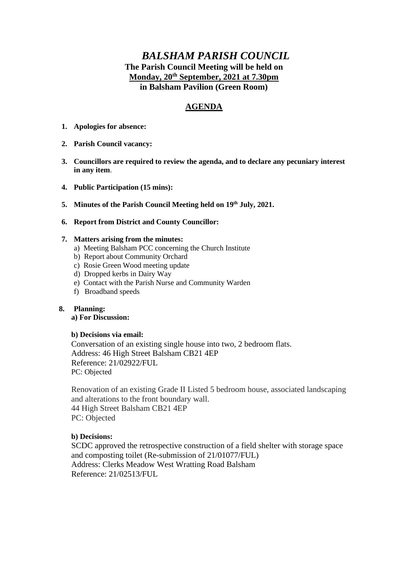# *BALSHAM PARISH COUNCIL* **The Parish Council Meeting will be held on Monday, 20th September, 2021 at 7.30pm in Balsham Pavilion (Green Room)**

# **AGENDA**

- **1. Apologies for absence:**
- **2. Parish Council vacancy:**
- **3. Councillors are required to review the agenda, and to declare any pecuniary interest in any item**.
- **4. Public Participation (15 mins):**
- **5. Minutes of the Parish Council Meeting held on 19th July, 2021.**
- **6. Report from District and County Councillor:**

### **7. Matters arising from the minutes:**

- a) Meeting Balsham PCC concerning the Church Institute
- b) Report about Community Orchard
- c) Rosie Green Wood meeting update
- d) Dropped kerbs in Dairy Way
- e) Contact with the Parish Nurse and Community Warden
- f) Broadband speeds

### **8. Planning:**

### **a) For Discussion:**

### **b) Decisions via email:**

Conversation of an existing single house into two, 2 bedroom flats. Address: 46 High Street Balsham CB21 4EP Reference: 21/02922/FUL PC: Objected

Renovation of an existing Grade II Listed 5 bedroom house, associated landscaping and alterations to the front boundary wall. 44 High Street Balsham CB21 4EP PC: Objected

### **b) Decisions:**

SCDC approved the retrospective construction of a field shelter with storage space and composting toilet (Re-submission of 21/01077/FUL) Address: Clerks Meadow West Wratting Road Balsham Reference: 21/02513/FUL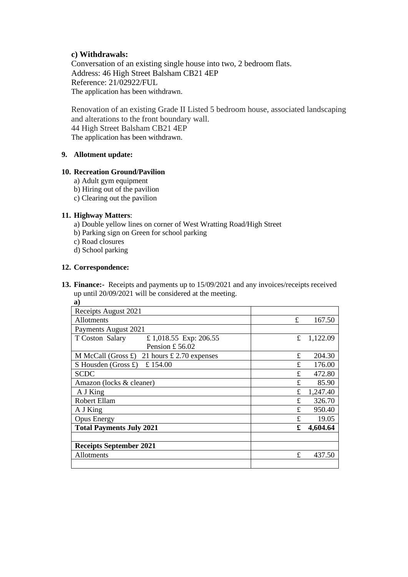### **c) Withdrawals:**

Conversation of an existing single house into two, 2 bedroom flats. Address: 46 High Street Balsham CB21 4EP Reference: 21/02922/FUL The application has been withdrawn.

Renovation of an existing Grade II Listed 5 bedroom house, associated landscaping and alterations to the front boundary wall. 44 High Street Balsham CB21 4EP The application has been withdrawn.

### **9. Allotment update:**

### **10. Recreation Ground/Pavilion**

- a) Adult gym equipment
- b) Hiring out of the pavilion
- c) Clearing out the pavilion

### **11. Highway Matters**:

- a) Double yellow lines on corner of West Wratting Road/High Street
- b) Parking sign on Green for school parking
- c) Road closures
- d) School parking

### **12. Correspondence:**

**13. Finance:-** Receipts and payments up to 15/09/2021 and any invoices/receipts received up until 20/09/2021 will be considered at the meeting. **a)**

| а,                                                      |    |          |
|---------------------------------------------------------|----|----------|
| Receipts August 2021                                    |    |          |
| <b>Allotments</b>                                       | £  | 167.50   |
| Payments August 2021                                    |    |          |
| £ 1,018.55 Exp: 206.55<br>T Coston Salary               | £  | 1,122.09 |
| Pension £56.02                                          |    |          |
| M McCall (Gross $\pounds$ )<br>21 hours £ 2.70 expenses | £  | 204.30   |
| £154.00<br>S Housden (Gross $\pounds$ )                 | £  | 176.00   |
| <b>SCDC</b>                                             | £. | 472.80   |
| Amazon (locks & cleaner)                                | £  | 85.90    |
| A J King                                                | £  | 1,247.40 |
| Robert Ellam                                            | £  | 326.70   |
| A J King                                                | £  | 950.40   |
| <b>Opus Energy</b>                                      | £  | 19.05    |
| <b>Total Payments July 2021</b>                         | £  | 4,604.64 |
|                                                         |    |          |
| <b>Receipts September 2021</b>                          |    |          |
| Allotments                                              | £  | 437.50   |
|                                                         |    |          |